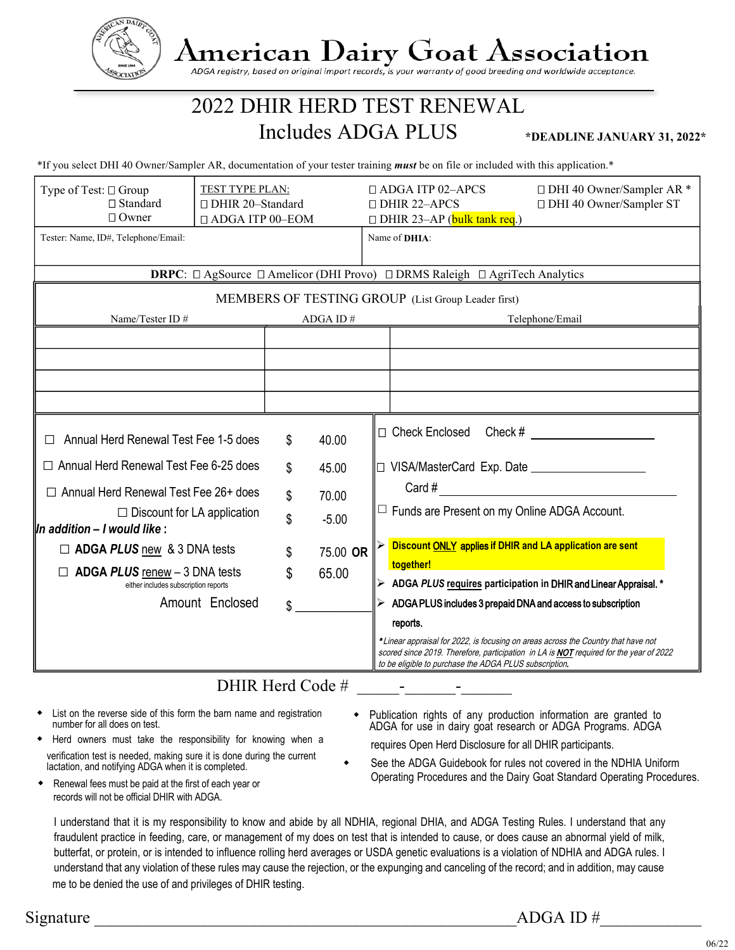

## **American Dairy Goat Association**

ADGA registry, based on original import records, is your warranty of good breeding and worldwide acceptance.

## 2022 DHIR HERD TEST RENEWAL Includes ADGA PLUS

**\*DEADLINE JANUARY 31, 2022\***

\*If you select DHI 40 Owner/Sampler AR, documentation of your tester training *must* be on file or included with this application.\*

| Type of Test: □ Group<br>$\Box$ Standard<br>$\Box$ Owner                                                | TEST TYPE PLAN:<br>□ DHIR 20-Standard<br>□ ADGA ITP 00-EOM |          |          |  | $\Box$ ADGA ITP 02-APCS<br>□ DHI 40 Owner/Sampler AR *<br>$\Box$ DHIR 22-APCS<br>□ DHI 40 Owner/Sampler ST<br>$\Box$ DHIR 23-AP (bulk tank req.)                                                                                      |
|---------------------------------------------------------------------------------------------------------|------------------------------------------------------------|----------|----------|--|---------------------------------------------------------------------------------------------------------------------------------------------------------------------------------------------------------------------------------------|
| Tester: Name, ID#, Telephone/Email:                                                                     |                                                            |          |          |  | Name of <b>DHIA</b> :                                                                                                                                                                                                                 |
| <b>DRPC</b> : $\Box$ AgSource $\Box$ Amelicor (DHI Provo) $\Box$ DRMS Raleigh $\Box$ AgriTech Analytics |                                                            |          |          |  |                                                                                                                                                                                                                                       |
| MEMBERS OF TESTING GROUP (List Group Leader first)                                                      |                                                            |          |          |  |                                                                                                                                                                                                                                       |
| Name/Tester ID#                                                                                         |                                                            | ADGA ID# |          |  | Telephone/Email                                                                                                                                                                                                                       |
|                                                                                                         |                                                            |          |          |  |                                                                                                                                                                                                                                       |
|                                                                                                         |                                                            |          |          |  |                                                                                                                                                                                                                                       |
|                                                                                                         |                                                            |          |          |  |                                                                                                                                                                                                                                       |
|                                                                                                         |                                                            |          |          |  |                                                                                                                                                                                                                                       |
| Annual Herd Renewal Test Fee 1-5 does                                                                   |                                                            | \$       | 40.00    |  | $\Box$ Check Enclosed Check #                                                                                                                                                                                                         |
| □ Annual Herd Renewal Test Fee 6-25 does                                                                |                                                            | \$       | 45.00    |  |                                                                                                                                                                                                                                       |
| $\Box$ Annual Herd Renewal Test Fee 26+ does                                                            |                                                            | \$       | 70.00    |  | Card #<br>$\Box$ Funds are Present on my Online ADGA Account.<br>Discount ONLY applies if DHIR and LA application are sent                                                                                                            |
| $\Box$ Discount for LA application<br>$\parallel$ In addition – I would like :                          |                                                            | \$       | $-5.00$  |  |                                                                                                                                                                                                                                       |
| $\Box$ ADGA PLUS new & 3 DNA tests                                                                      |                                                            | \$       | 75.00 OR |  |                                                                                                                                                                                                                                       |
| $\Box$ ADGA PLUS renew - 3 DNA tests<br>either includes subscription reports                            | \$                                                         |          | 65.00    |  | together!<br>ADGA PLUS requires participation in DHIR and Linear Appraisal. *                                                                                                                                                         |
|                                                                                                         | Amount Enclosed                                            | \$       |          |  | $\triangleright$ ADGA PLUS includes 3 prepaid DNA and access to subscription                                                                                                                                                          |
|                                                                                                         |                                                            |          |          |  | reports.                                                                                                                                                                                                                              |
|                                                                                                         |                                                            |          |          |  | *Linear appraisal for 2022, is focusing on areas across the Country that have not<br>scored since 2019. Therefore, participation in LA is NOT required for the year of 2022<br>to be eligible to purchase the ADGA PLUS subscription. |
| $\mathbf{N}$ IIID II $\mathbf{1} \cap \mathbf{1}$ $\mathbf{1}$                                          |                                                            |          |          |  |                                                                                                                                                                                                                                       |

## DHIR Herd Code #

- List on the reverse side of this form the barn name and registration number for all does on test.
- Herd owners must take the responsibility for knowing when a verification test is needed, making sure it is done during the current lactation, and notifying ADGA when it is completed.
- Renewal fees must be paid at the first of each year or records will not be official DHIR with ADGA.
- Publication rights of any production information are granted to ADGA for use in dairy goat research or ADGA Programs. ADGA requires Open Herd Disclosure for all DHIR participants.
- See the ADGA Guidebook for rules not covered in the NDHIA Uniform Operating Procedures and the Dairy Goat Standard Operating Procedures.
- I understand that it is my responsibility to know and abide by all NDHIA, regional DHIA, and ADGA Testing Rules. I understand that any fraudulent practice in feeding, care, or management of my does on test that is intended to cause, or does cause an abnormal yield of milk, butterfat, or protein, or is intended to influence rolling herd averages or USDA genetic evaluations is a violation of NDHIA and ADGA rules. I understand that any violation of these rules may cause the rejection, or the expunging and canceling of the record; and in addition, may cause me to be denied the use of and privileges of DHIR testing.